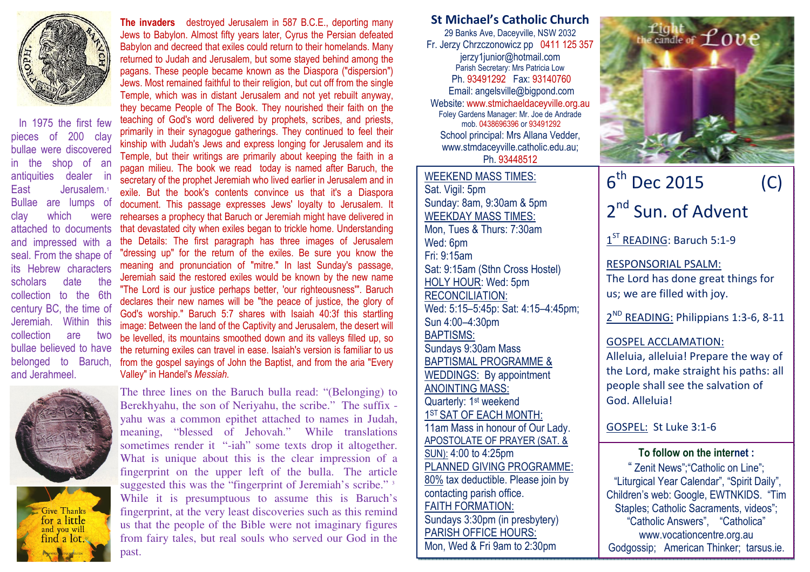

In 1975 the first few pieces of 200 clay bullae were discovered in the shop of an antiquities dealer in East Jerusalem.1 Bullae are lumps of clay which were attached to documents and impressed with a seal. From the shape of its Hebrew characters scholars date the collection to the 6th century BC, the time of Jeremiah. Within this collection are two bullae believed to have belonged to Baruch, and Jerahmeel.



Give Thanks for a little and you will find a lot.

The invaders destroyed Jerusalem in 587 B.C.E., deporting many Jews to Babylon. Almost fifty years later, Cyrus the Persian defeated Babylon and decreed that exiles could return to their homelands. Many returned to Judah and Jerusalem, but some stayed behind among the pagans. These people became known as the Diaspora ("dispersion") Jews. Most remained faithful to their religion, but cut off from the single Temple, which was in distant Jerusalem and not yet rebuilt anyway, they became People of The Book. They nourished their faith on the teaching of God's word delivered by prophets, scribes, and priests, primarily in their synagogue gatherings. They continued to feel their kinship with Judah's Jews and express longing for Jerusalem and its Temple, but their writings are primarily about keeping the faith in a pagan milieu. The book we read today is named after Baruch, the secretary of the prophet Jeremiah who lived earlier in Jerusalem and in exile. But the book's contents convince us that it's a Diaspora document. This passage expresses Jews' loyalty to Jerusalem. It rehearses a prophecy that Baruch or Jeremiah might have delivered in that devastated city when exiles began to trickle home. Understanding the Details: The first paragraph has three images of Jerusalem "dressing up" for the return of the exiles. Be sure you know the meaning and pronunciation of "mitre." In last Sunday's passage, Jeremiah said the restored exiles would be known by the new name "The Lord is our justice perhaps better, 'our righteousness'". Baruch declares their new names will be "the peace of justice, the glory of God's worship." Baruch 5:7 shares with Isaiah 40:3f this startling image: Between the land of the Captivity and Jerusalem, the desert will be levelled, its mountains smoothed down and its valleys filled up, so the returning exiles can travel in ease. Isaiah's version is familiar to us from the gospel sayings of John the Baptist, and from the aria "Every Valley" in Handel's Messiah.

The three lines on the Baruch bulla read: "(Belonging) to Berekhyahu, the son of Neriyahu, the scribe." The suffix yahu was a common epithet attached to names in Judah, meaning, "blessed of Jehovah." While translations sometimes render it "-iah" some texts drop it altogether. What is unique about this is the clear impression of a fingerprint on the upper left of the bulla. The article suggested this was the "fingerprint of Jeremiah's scribe."<sup>3</sup> While it is presumptuous to assume this is Baruch's fingerprint, at the very least discoveries such as this remind us that the people of the Bible were not imaginary figures from fairy tales, but real souls who served our God in the past.

St Michael's Catholic Church

29 Banks Ave, Daceyville, NSW 2032 Fr. Jerzy Chrzczonowicz pp 0411 125 357 jerzy1junior@hotmail.com Parish Secretary: Mrs Patricia Low Ph. 93491292 Fax: 93140760 Email: angelsville@bigpond.com Website: www.stmichaeldaceyville.org.au Foley Gardens Manager: Mr. Joe de Andrade mob. 0438696396 or 93491292 School principal: Mrs Allana Vedder, www.stmdaceyville.catholic.edu.au; Ph. 93448512

WEEKEND MASS TIMES:Sat. Vigil: 5pm Sunday: 8am, 9:30am & 5pm WEEKDAY MASS TIMES: Mon, Tues & Thurs: 7:30am Wed: 6pm Fri: 9:15am Sat: 9:15am (Sthn Cross Hostel) HOLY HOUR: Wed: 5pm RECONCILIATION: Wed: 5:15–5:45p: Sat: 4:15–4:45pm; Sun 4:00–4:30pm BAPTISMS: Sundays 9:30am Mass BAPTISMAL PROGRAMME & WEDDINGS: By appointment ANOINTING MASS: Quarterly: 1<sup>st</sup> weekend 1ST SAT OF EACH MONTH: 11am Mass in honour of Our Lady. APOSTOLATE OF PRAYER (SAT. & SUN): 4:00 to 4:25pm PLANNED GIVING PROGRAMME: 80% tax deductible. Please join by contacting parish office. FAITH FORMATION: Sundays 3:30pm (in presbytery) PARISH OFFICE HOURS: Mon, Wed & Fri 9am to 2:30pm



## 6th Dec 2015 (C) 2<sup>nd</sup> Sun. of Advent

1<sup>ST</sup> READING: Baruch 5:1-9

RESPONSORIAL PSALM: The Lord has done great things for us; we are filled with joy.

2<sup>ND</sup> READING: Philippians 1:3-6, 8-11

## GOSPEL ACCLAMATION:

Alleluia, alleluia! Prepare the way of the Lord, make straight his paths: all people shall see the salvation of God. Alleluia!

GOSPEL: St Luke 3:1-6

To follow on the internet :

" Zenit News";"Catholic on Line"; "Liturgical Year Calendar", "Spirit Daily", Children's web: Google, EWTNKIDS. "Tim Staples: Catholic Sacraments, videos": "Catholic Answers", "Catholica" www.vocationcentre.org.au Godgossip; American Thinker; tarsus.ie.